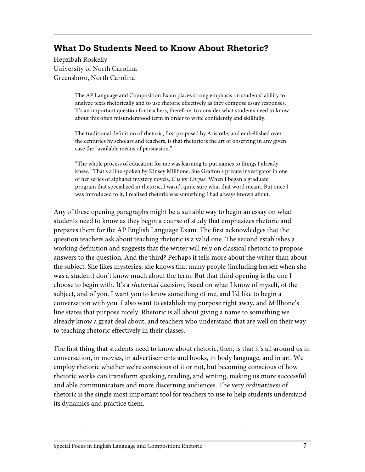# **What Do Students Need to Know About Rhetoric?**

Hepzibah Roskelly University of North Carolina Greensboro, North Carolina

> The AP Language and Composition Exam places strong emphasis on students' ability to analyze texts rhetorically and to use rhetoric effectively as they compose essay responses. It's an important question for teachers, therefore, to consider what students need to know about this often misunderstood term in order to write confidently and skillfully.

The traditional definition of rhetoric, first proposed by Aristotle, and embellished over the centuries by scholars and teachers, is that rhetoric is the art of observing in any given case the "available means of persuasion."

"The whole process of education for me was learning to put names to things I already knew." That's a line spoken by Kinsey Millhone, Sue Grafton's private investigator in one of her series of alphabet mystery novels, *C is for Corpse.* When I began a graduate program that specialized in rhetoric, I wasn't quite sure what that word meant. But once I was introduced to it, I realized rhetoric was something I had always known about.

Any of these opening paragraphs might be a suitable way to begin an essay on what students need to know as they begin a course of study that emphasizes rhetoric and prepares them for the AP English Language Exam. The first acknowledges that the question teachers ask about teaching rhetoric is a valid one. The second establishes a working definition and suggests that the writer will rely on classical rhetoric to propose answers to the question. And the third? Perhaps it tells more about the writer than about the subject. She likes mysteries; she knows that many people (including herself when she was a student) don't know much about the term. But that third opening is the one I choose to begin with. It's a *rhetorical* decision, based on what I know of myself, of the subject, and of you. I want you to know something of me, and I'd like to begin a conversation with you. I also want to establish my purpose right away, and Millhone's line states that purpose nicely. Rhetoric is all about giving a name to something we already know a great deal about, and teachers who understand that are well on their way to teaching rhetoric effectively in their classes.

The first thing that students need to know about rhetoric, then, is that it's all around us in conversation, in movies, in advertisements and books, in body language, and in art. We employ rhetoric whether we're conscious of it or not, but becoming conscious of how rhetoric works can transform speaking, reading, and writing, making us more successful and able communicators and more discerning audiences. The very *ordinariness* of rhetoric is the single most important tool for teachers to use to help students understand its dynamics and practice them.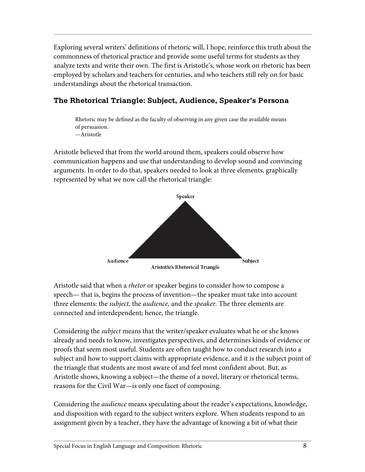Exploring several writers' definitions of rhetoric will, I hope, reinforce this truth about the commonness of rhetorical practice and provide some useful terms for students as they analyze texts and write their own. The first is Aristotle's, whose work on rhetoric has been employed by scholars and teachers for centuries, and who teachers still rely on for basic understandings about the rhetorical transaction.

## **The Rhetorical Triangle: Subject, Audience, Speaker's Persona**

Rhetoric may be defined as the faculty of observing in any given case the available means of persuasion. —Aristotle

Aristotle believed that from the world around them, speakers could observe how communication happens and use that understanding to develop sound and convincing arguments. In order to do that, speakers needed to look at three elements, graphically represented by what we now call the rhetorical triangle:



Aristotle said that when a *rhetor* or speaker begins to consider how to compose a speech— that is, begins the process of invention—the speaker must take into account three elements: the *subject,* the *audience,* and the *speaker.* The three elements are connected and interdependent; hence, the triangle.

Considering the *subject* means that the writer/speaker evaluates what he or she knows already and needs to know, investigates perspectives, and determines kinds of evidence or proofs that seem most useful. Students are often taught how to conduct research into a subject and how to support claims with appropriate evidence, and it is the subject point of the triangle that students are most aware of and feel most confident about. But, as Aristotle shows, knowing a subject—the theme of a novel, literary or rhetorical terms, reasons for the Civil War—is only one facet of composing.

Considering the *audience* means speculating about the reader's expectations, knowledge, and disposition with regard to the subject writers explore. When students respond to an assignment given by a teacher, they have the advantage of knowing a bit of what their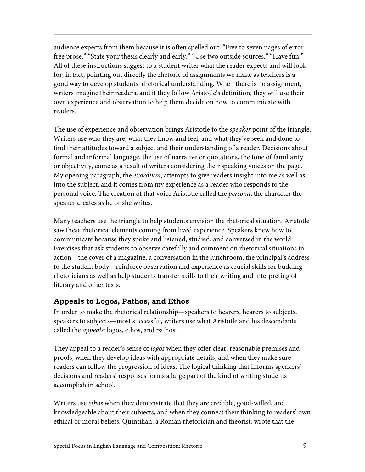audience expects from them because it is often spelled out. "Five to seven pages of errorfree prose." "State your thesis clearly and early." "Use two outside sources." "Have fun." All of these instructions suggest to a student writer what the reader expects and will look for; in fact, pointing out directly the rhetoric of assignments we make as teachers is a good way to develop students' rhetorical understanding. When there is no assignment, writers imagine their readers, and if they follow Aristotle's definition, they will use their own experience and observation to help them decide on how to communicate with readers.

The use of experience and observation brings Aristotle to the *speaker* point of the triangle. Writers use who they are, what they know and feel, and what they've seen and done to find their attitudes toward a subject and their understanding of a reader. Decisions about formal and informal language, the use of narrative or quotations, the tone of familiarity or objectivity, come as a result of writers considering their speaking voices on the page. My opening paragraph, the *exordium*, attempts to give readers insight into me as well as into the subject, and it comes from my experience as a reader who responds to the personal voice. The creation of that voice Aristotle called the *persona*, the character the speaker creates as he or she writes.

Many teachers use the triangle to help students envision the rhetorical situation. Aristotle saw these rhetorical elements coming from lived experience. Speakers knew how to communicate because they spoke and listened, studied, and conversed in the world. Exercises that ask students to observe carefully and comment on rhetorical situations in action—the cover of a magazine, a conversation in the lunchroom, the principal's address to the student body—reinforce observation and experience as crucial skills for budding rhetoricians as well as help students transfer skills to their writing and interpreting of literary and other texts.

#### **Appeals to Logos, Pathos, and Ethos**

In order to make the rhetorical relationship—speakers to hearers, hearers to subjects, speakers to subjects—most successful, writers use what Aristotle and his descendants called the *appeals*: logos, ethos, and pathos.

They appeal to a reader's sense of *logos* when they offer clear, reasonable premises and proofs, when they develop ideas with appropriate details, and when they make sure readers can follow the progression of ideas. The logical thinking that informs speakers' decisions and readers' responses forms a large part of the kind of writing students accomplish in school.

Writers use *ethos* when they demonstrate that they are credible, good-willed, and knowledgeable about their subjects, and when they connect their thinking to readers' own ethical or moral beliefs. Quintilian, a Roman rhetorician and theorist, wrote that the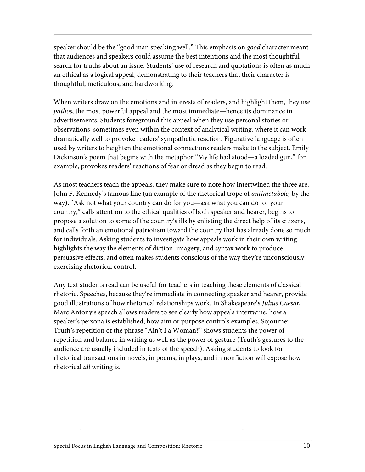speaker should be the "good man speaking well." This emphasis on *good* character meant that audiences and speakers could assume the best intentions and the most thoughtful search for truths about an issue. Students' use of research and quotations is often as much an ethical as a logical appeal, demonstrating to their teachers that their character is thoughtful, meticulous, and hardworking.

When writers draw on the emotions and interests of readers, and highlight them, they use *pathos*, the most powerful appeal and the most immediate—hence its dominance in advertisements. Students foreground this appeal when they use personal stories or observations, sometimes even within the context of analytical writing, where it can work dramatically well to provoke readers' sympathetic reaction. Figurative language is often used by writers to heighten the emotional connections readers make to the subject. Emily Dickinson's poem that begins with the metaphor "My life had stood—a loaded gun," for example, provokes readers' reactions of fear or dread as they begin to read.

As most teachers teach the appeals, they make sure to note how intertwined the three are. John F. Kennedy's famous line (an example of the rhetorical trope of *antimetabole,* by the way), "Ask not what your country can do for you—ask what you can do for your country," calls attention to the ethical qualities of both speaker and hearer, begins to propose a solution to some of the country's ills by enlisting the direct help of its citizens, and calls forth an emotional patriotism toward the country that has already done so much for individuals. Asking students to investigate how appeals work in their own writing highlights the way the elements of diction, imagery, and syntax work to produce persuasive effects, and often makes students conscious of the way they're unconsciously exercising rhetorical control.

Any text students read can be useful for teachers in teaching these elements of classical rhetoric. Speeches, because they're immediate in connecting speaker and hearer, provide good illustrations of how rhetorical relationships work. In Shakespeare's *Julius Caesar,*  Marc Antony's speech allows readers to see clearly how appeals intertwine, how a speaker's persona is established, how aim or purpose controls examples. Sojourner Truth's repetition of the phrase "Ain't I a Woman?" shows students the power of repetition and balance in writing as well as the power of gesture (Truth's gestures to the audience are usually included in texts of the speech). Asking students to look for rhetorical transactions in novels, in poems, in plays, and in nonfiction will expose how rhetorical *all* writing is.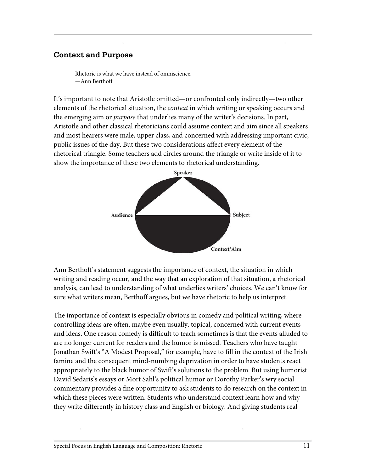#### **Context and Purpose**

Rhetoric is what we have instead of omniscience. —Ann Berthoff

It's important to note that Aristotle omitted—or confronted only indirectly—two other elements of the rhetorical situation, the *context* in which writing or speaking occurs and the emerging aim or *purpose* that underlies many of the writer's decisions. In part, Aristotle and other classical rhetoricians could assume context and aim since all speakers and most hearers were male, upper class, and concerned with addressing important civic, public issues of the day. But these two considerations affect every element of the rhetorical triangle. Some teachers add circles around the triangle or write inside of it to show the importance of these two elements to rhetorical understanding.



Ann Berthoff's statement suggests the importance of context, the situation in which writing and reading occur, and the way that an exploration of that situation, a rhetorical analysis, can lead to understanding of what underlies writers' choices. We can't know for sure what writers mean, Berthoff argues, but we have rhetoric to help us interpret.

The importance of context is especially obvious in comedy and political writing, where controlling ideas are often, maybe even usually, topical, concerned with current events and ideas. One reason comedy is difficult to teach sometimes is that the events alluded to are no longer current for readers and the humor is missed. Teachers who have taught Jonathan Swift's "A Modest Proposal," for example, have to fill in the context of the Irish famine and the consequent mind-numbing deprivation in order to have students react appropriately to the black humor of Swift's solutions to the problem. But using humorist David Sedaris's essays or Mort Sahl's political humor or Dorothy Parker's wry social commentary provides a fine opportunity to ask students to do research on the context in which these pieces were written. Students who understand context learn how and why they write differently in history class and English or biology. And giving students real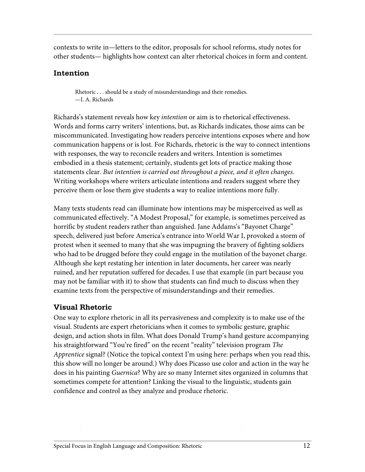contexts to write in—letters to the editor, proposals for school reforms, study notes for other students— highlights how context can alter rhetorical choices in form and content.

### **Intention**

Rhetoric . . . should be a study of misunderstandings and their remedies. —I. A. Richards

Richards's statement reveals how key *intention* or aim is to rhetorical effectiveness. Words and forms carry writers' intentions, but, as Richards indicates, those aims can be miscommunicated. Investigating how readers perceive intentions exposes where and how communication happens or is lost. For Richards, rhetoric is the way to connect intentions with responses, the way to reconcile readers and writers. Intention is sometimes embodied in a thesis statement; certainly, students get lots of practice making those statements clear. *But intention is carried out throughout a piece, and it often changes.*  Writing workshops where writers articulate intentions and readers suggest where they perceive them or lose them give students a way to realize intentions more fully.

Many texts students read can illuminate how intentions may be misperceived as well as communicated effectively. "A Modest Proposal," for example, is sometimes perceived as horrific by student readers rather than anguished. Jane Addams's "Bayonet Charge" speech, delivered just before America's entrance into World War I, provoked a storm of protest when it seemed to many that she was impugning the bravery of fighting soldiers who had to be drugged before they could engage in the mutilation of the bayonet charge. Although she kept restating her intention in later documents, her career was nearly ruined, and her reputation suffered for decades. I use that example (in part because you may not be familiar with it) to show that students can find much to discuss when they examine texts from the perspective of misunderstandings and their remedies.

### **Visual Rhetoric**

One way to explore rhetoric in all its pervasiveness and complexity is to make use of the visual. Students are expert rhetoricians when it comes to symbolic gesture, graphic design, and action shots in film. What does Donald Trump's hand gesture accompanying his straightforward "You're fired" on the recent "reality" television program *The Apprentice* signal? (Notice the topical context I'm using here: perhaps when you read this, this show will no longer be around.) Why does Picasso use color and action in the way he does in his painting *Guernica*? Why are so many Internet sites organized in columns that sometimes compete for attention? Linking the visual to the linguistic, students gain confidence and control as they analyze and produce rhetoric.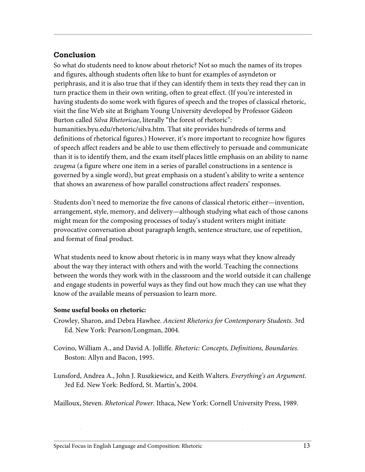#### **Conclusion**

So what do students need to know about rhetoric? Not so much the names of its tropes and figures, although students often like to hunt for examples of asyndeton or periphrasis, and it is also true that if they can identify them in texts they read they can in turn practice them in their own writing, often to great effect. (If you're interested in having students do some work with figures of speech and the tropes of classical rhetoric, visit the fine Web site at Brigham Young University developed by Professor Gideon Burton called *Silva Rhetoricae*, literally "the forest of rhetoric": humanities.byu.edu/rhetoric/silva.htm. That site provides hundreds of terms and definitions of rhetorical figures.) However, it's more important to recognize how figures of speech affect readers and be able to use them effectively to persuade and communicate than it is to identify them, and the exam itself places little emphasis on an ability to name *zeugma* (a figure where one item in a series of parallel constructions in a sentence is governed by a single word), but great emphasis on a student's ability to write a sentence that shows an awareness of how parallel constructions affect readers' responses.

Students don't need to memorize the five canons of classical rhetoric either—invention, arrangement, style, memory, and delivery—although studying what each of those canons might mean for the composing processes of today's student writers might initiate provocative conversation about paragraph length, sentence structure, use of repetition, and format of final product.

What students need to know about rhetoric is in many ways what they know already about the way they interact with others and with the world. Teaching the connections between the words they work with in the classroom and the world outside it can challenge and engage students in powerful ways as they find out how much they can use what they know of the available means of persuasion to learn more.

#### **Some useful books on rhetoric:**

- Crowley, Sharon, and Debra Hawhee. *Ancient Rhetorics for Contemporary Students.* 3rd Ed. New York: Pearson/Longman, 2004.
- Covino, William A., and David A. Jolliffe. *Rhetoric: Concepts, Definitions, Boundaries.*  Boston: Allyn and Bacon, 1995.
- Lunsford, Andrea A., John J. Ruszkiewicz, and Keith Walters. *Everything's an Argument.*  3rd Ed. New York: Bedford, St. Martin's, 2004.

Mailloux, Steven. *Rhetorical Power.* Ithaca, New York: Cornell University Press, 1989.